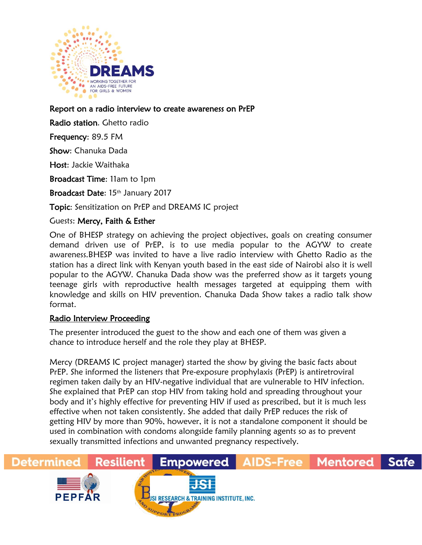

Report on a radio interview to create awareness on PrEP

Radio station. Ghetto radio

Frequency: 89.5 FM

Show: Chanuka Dada

Host: Jackie Waithaka

Broadcast Time: 11am to 1pm

Broadcast Date: 15th January 2017

Topic: Sensitization on PrEP and DREAMS IC project

## Guests: Mercy, Faith & Esther

One of BHESP strategy on achieving the project objectives, goals on creating consumer demand driven use of PrEP, is to use media popular to the AGYW to create awareness.BHESP was invited to have a live radio interview with Ghetto Radio as the station has a direct link with Kenyan youth based in the east side of Nairobi also it is well popular to the AGYW. Chanuka Dada show was the preferred show as it targets young teenage girls with reproductive health messages targeted at equipping them with knowledge and skills on HIV prevention. Chanuka Dada Show takes a radio talk show format.

## Radio Interview Proceeding

The presenter introduced the guest to the show and each one of them was given a chance to introduce herself and the role they play at BHESP.

Mercy (DREAMS IC project manager) started the show by giving the basic facts about PrEP. She informed the listeners that Pre-exposure prophylaxis (PrEP) is antiretroviral regimen taken daily by an HIV-negative individual that are vulnerable to HIV infection. She explained that PrEP can stop HIV from taking hold and spreading throughout your body and it's highly effective for preventing HIV if used as prescribed, but it is much less effective when not taken consistently. She added that daily PrEP reduces the risk of getting HIV by more than 90%, however, it is not a standalone component it should be used in combination with condoms alongside family planning agents so as to prevent sexually transmitted infections and unwanted pregnancy respectively.

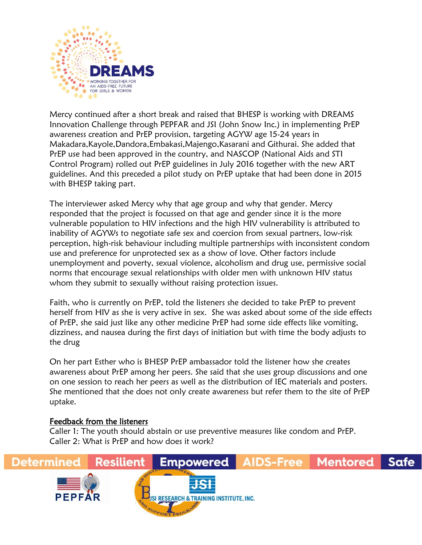

Mercy continued after a short break and raised that BHESP is working with DREAMS Innovation Challenge through PEPFAR and JSI (John Snow Inc.) in implementing PrEP awareness creation and PrEP provision, targeting AGYW age 15-24 years in Makadara,Kayole,Dandora,Embakasi,Majengo,Kasarani and Githurai. She added that PrEP use had been approved in the country, and NASCOP (National Aids and STI Control Program) rolled out PrEP guidelines in July 2016 together with the new ART guidelines. And this preceded a pilot study on PrEP uptake that had been done in 2015 with BHESP taking part.

The interviewer asked Mercy why that age group and why that gender. Mercy responded that the project is focussed on that age and gender since it is the more vulnerable population to HIV infections and the high HIV vulnerability is attributed to inability of AGYWs to negotiate safe sex and coercion from sexual partners, low-risk perception, high-risk behaviour including multiple partnerships with inconsistent condom use and preference for unprotected sex as a show of love. Other factors include unemployment and poverty, sexual violence, alcoholism and drug use, permissive social norms that encourage sexual relationships with older men with unknown HIV status whom they submit to sexually without raising protection issues.

Faith, who is currently on PrEP, told the listeners she decided to take PrEP to prevent herself from HIV as she is very active in sex. She was asked about some of the side effects of PrEP, she said just like any other medicine PrEP had some side effects like vomiting, dizziness, and nausea during the first days of initiation but with time the body adjusts to the drug

On her part Esther who is BHESP PrEP ambassador told the listener how she creates awareness about PrEP among her peers. She said that she uses group discussions and one on one session to reach her peers as well as the distribution of IEC materials and posters. She mentioned that she does not only create awareness but refer them to the site of PrEP uptake.

## Feedback from the listeners

Caller 1: The youth should abstain or use preventive measures like condom and PrEP. Caller 2: What is PrEP and how does it work?

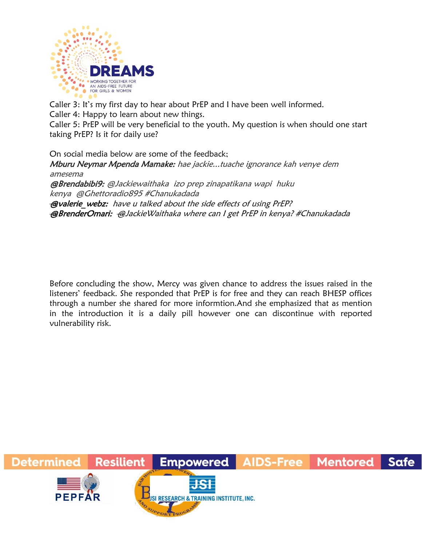

Caller 3: It's my first day to hear about PrEP and I have been well informed.

Caller 4: Happy to learn about new things.

Caller 5: PrEP will be very beneficial to the youth. My question is when should one start taking PrEP? Is it for daily use?

On social media below are some of the feedback; Mburu Neymar Mpenda Mamake: hae jackie...tuache ignorance kah venye dem amesema @Brendabibi9: @Jackiewaithaka izo prep zinapatikana wapi huku kenya @Ghettoradio895 #Chanukadada **@valerie** webz: have u talked about the side effects of using PrEP? @BrenderOmari: [@JackieWaithaka](https://twitter.com/JackieWaithaka) where can I get PrEP in kenya[? #Chanukadada](https://twitter.com/hashtag/Chanukadada?src=hash)

Before concluding the show, Mercy was given chance to address the issues raised in the listeners' feedback. She responded that PrEP is for free and they can reach BHESP offices through a number she shared for more informtion.And she emphasized that as mention in the introduction it is a daily pill however one can discontinue with reported vulnerability risk.